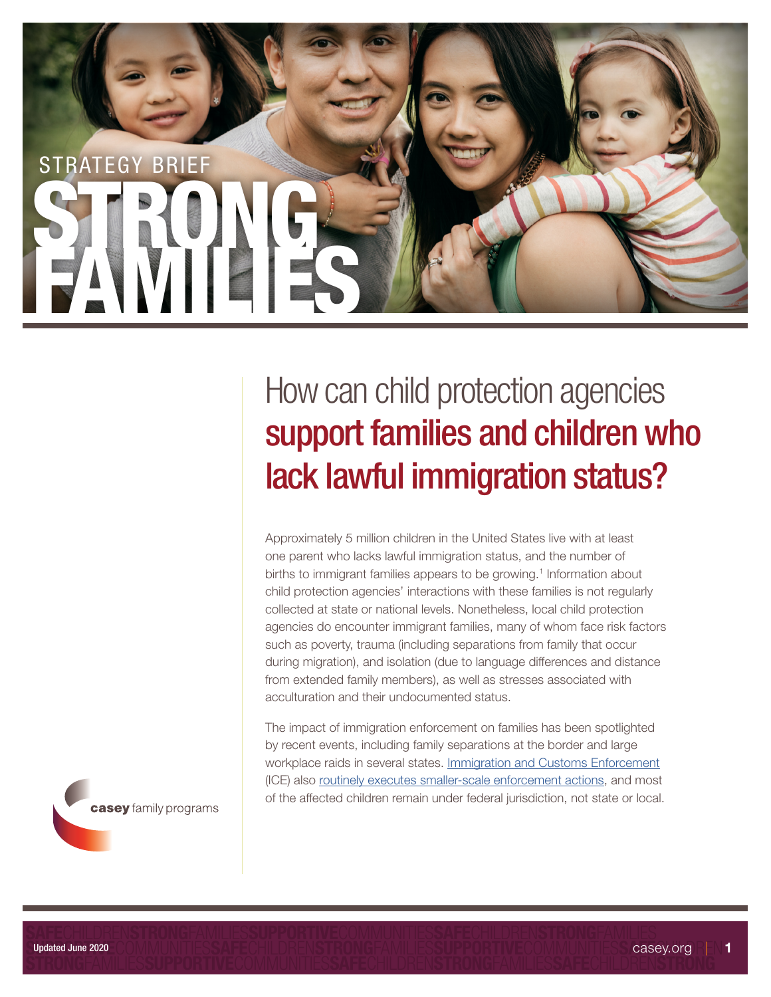

Approximately 5 million children in the United States live with at least one parent who lacks lawful immigration status, and the number of births to immigrant families appears to be growing.<sup>1</sup> Information about child protection agencies' interactions with these families is not regularly collected at state or national levels. Nonetheless, local child protection agencies do encounter immigrant families, many of whom face risk factors such as poverty, trauma (including separations from family that occur during migration), and isolation (due to language differences and distance from extended family members), as well as stresses associated with acculturation and their undocumented status.

The impact of immigration enforcement on families has been spotlighted by recent events, including family separations at the border and large workplace raids in several states. [Immigration and Customs Enforcement](https://www.ice.gov/) (ICE) also [routinely executes smaller-scale enforcement actions,](https://www.raceforward.org/research/reports/shattered-families) and most of the affected children remain under federal jurisdiction, not state or local.

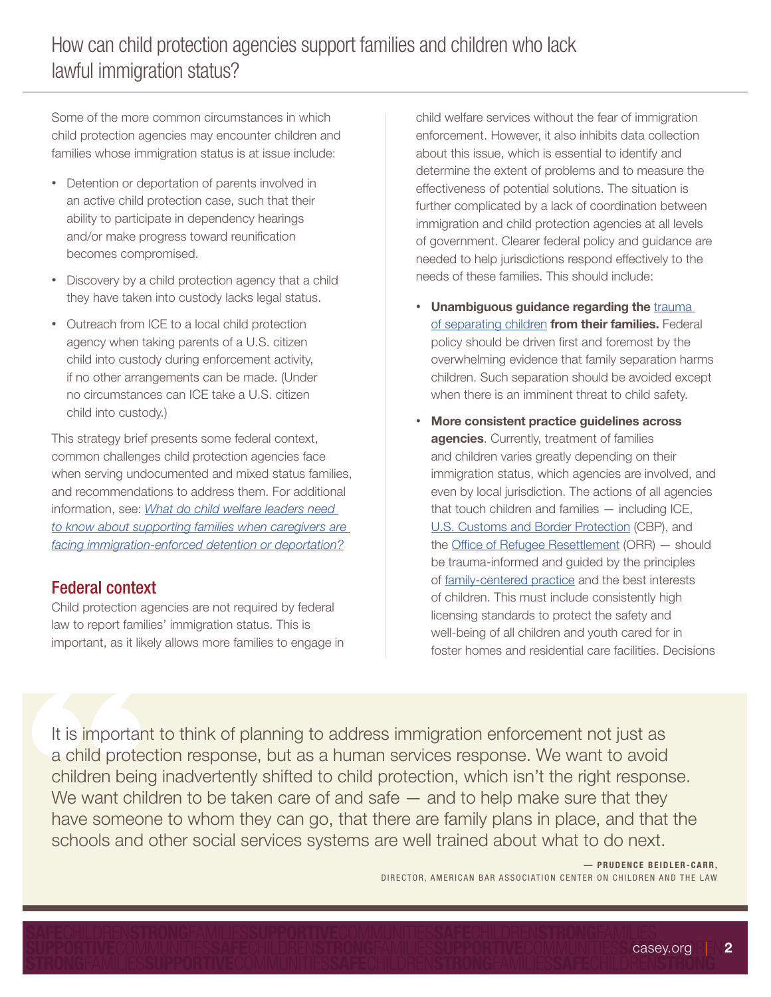Some of the more common circumstances in which child protection agencies may encounter children and families whose immigration status is at issue include:

- Detention or deportation of parents involved in an active child protection case, such that their ability to participate in dependency hearings and/or make progress toward reunification becomes compromised.
- Discovery by a child protection agency that a child they have taken into custody lacks legal status.
- Outreach from ICE to a local child protection agency when taking parents of a U.S. citizen child into custody during enforcement activity, if no other arrangements can be made. (Under no circumstances can ICE take a U.S. citizen child into custody.)

This strategy brief presents some federal context, common challenges child protection agencies face when serving undocumented and mixed status families, and recommendations to address them. For additional information, see: *[What do child welfare leaders need](https://www.casey.org/immigration-resources/)  [to know about supporting families when caregivers are](https://www.casey.org/immigration-resources/)  [facing immigration-enforced detention or deportation?](https://www.casey.org/immigration-resources/)*

## Federal context

Child protection agencies are not required by federal law to report families' immigration status. This is important, as it likely allows more families to engage in child welfare services without the fear of immigration enforcement. However, it also inhibits data collection about this issue, which is essential to identify and determine the extent of problems and to measure the effectiveness of potential solutions. The situation is further complicated by a lack of coordination between immigration and child protection agencies at all levels of government. Clearer federal policy and guidance are needed to help jurisdictions respond effectively to the needs of these families. This should include:

- Unambiguous guidance regarding the trauma [of separating children](https://www.americanbar.org/groups/litigation/committees/childrens-rights/trauma-caused-by-separation-of-children-from-parents/) from their families. Federal policy should be driven first and foremost by the overwhelming evidence that family separation harms children. Such separation should be avoided except when there is an imminent threat to child safety.
- More consistent practice guidelines across agencies. Currently, treatment of families and children varies greatly depending on their immigration status, which agencies are involved, and even by local jurisdiction. The actions of all agencies that touch children and families — including ICE, [U.S. Customs and Border Protection](https://www.cbp.gov/) (CBP), and the [Office of Refugee Resettlement](https://www.acf.hhs.gov/orr) (ORR) — should be trauma-informed and guided by the principles of [family-centered practice](https://www.childwelfare.gov/topics/famcentered/) and the best interests of children. This must include consistently high licensing standards to protect the safety and well-being of all children and youth cared for in foster homes and residential care facilities. Decisions

It is important to think of planning to address immigration enforcement not just as a child protection response, but as a human services response. We want to avoid children being inadvertently shifted to child protection, which isn't the right response. We want children to be taken care of and safe  $-$  and to help make sure that they have someone to whom they can go, that there are family plans in place, and that the schools and other social services systems are well trained about what to do next.

#### - PRUDENCE BEIDLER-CARR, DIRECTOR, AMERICAN BAR ASSOCIATION CENTER ON CHILDREN AND THE LAW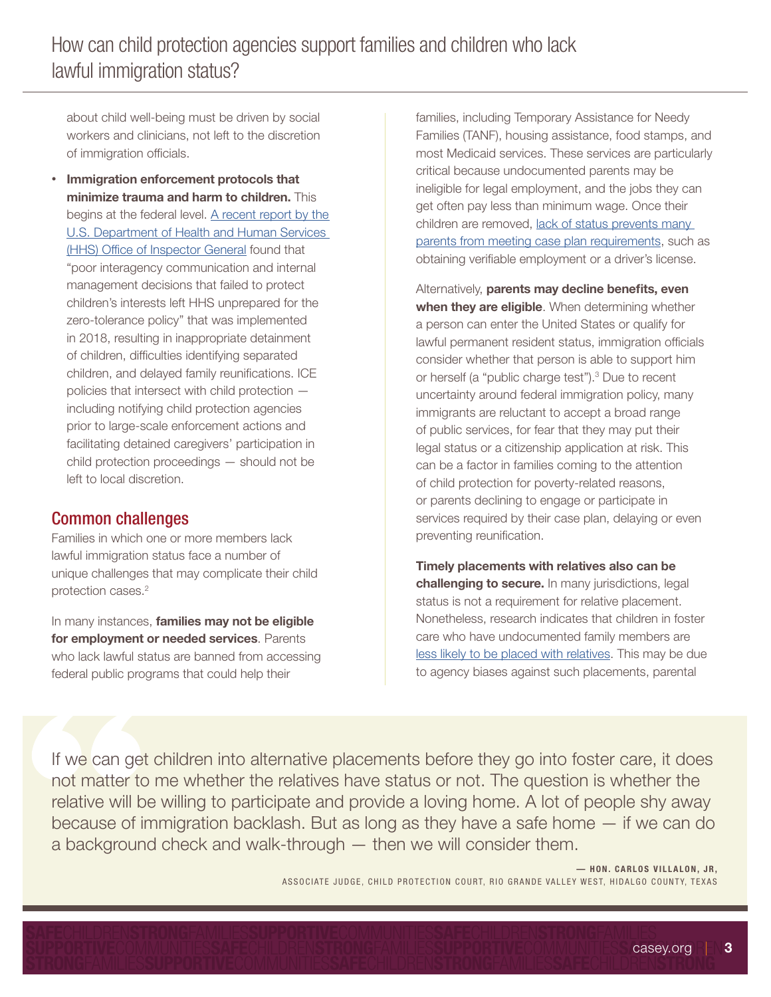about child well-being must be driven by social workers and clinicians, not left to the discretion of immigration officials.

• Immigration enforcement protocols that minimize trauma and harm to children. This begins at the federal level. A recent report by the [U.S. Department of Health and Human Services](https://oig.hhs.gov/newsroom/news-releases/2020/uac-reunification.asp)  [\(HHS\) Office of Inspector General](https://oig.hhs.gov/newsroom/news-releases/2020/uac-reunification.asp) found that "poor interagency communication and internal management decisions that failed to protect children's interests left HHS unprepared for the zero-tolerance policy" that was implemented in 2018, resulting in inappropriate detainment of children, difficulties identifying separated children, and delayed family reunifications. ICE policies that intersect with child protection including notifying child protection agencies prior to large-scale enforcement actions and facilitating detained caregivers' participation in child protection proceedings — should not be left to local discretion.

### Common challenges

Families in which one or more members lack lawful immigration status face a number of unique challenges that may complicate their child protection cases.<sup>2</sup>

In many instances, families may not be eligible for employment or needed services. Parents who lack lawful status are banned from accessing federal public programs that could help their

families, including Temporary Assistance for Needy Families (TANF), housing assistance, food stamps, and most Medicaid services. These services are particularly critical because undocumented parents may be ineligible for legal employment, and the jobs they can get often pay less than minimum wage. Once their children are removed, lack of status prevents many [parents from meeting case plan requirements,](https://www.raceforward.org/research/reports/shattered-families) such as obtaining verifiable employment or a driver's license.

Alternatively, parents may decline benefits, even when they are eligible. When determining whether a person can enter the United States or qualify for lawful permanent resident status, immigration officials consider whether that person is able to support him or herself (a "public charge test").<sup>3</sup> Due to recent uncertainty around federal immigration policy, many immigrants are reluctant to accept a broad range of public services, for fear that they may put their legal status or a citizenship application at risk. This can be a factor in families coming to the attention of child protection for poverty-related reasons, or parents declining to engage or participate in services required by their case plan, delaying or even preventing reunification.

Timely placements with relatives also can be challenging to secure. In many jurisdictions, legal status is not a requirement for relative placement. Nonetheless, research indicates that children in foster care who have undocumented family members are [less likely to be placed with relatives.](https://www.raceforward.org/research/reports/shattered-families) This may be due to agency biases against such placements, parental

If we can get children into alternative placements before they go into foster care, it does not matter to me whether the relatives have status or not. The question is whether the relative will be willing to participate and provide a loving home. A lot of people shy away because of immigration backlash. But as long as they have a safe home — if we can do a background check and walk-through — then we will consider them.

> - HON. CARLOS VILLALON, JR, ASSOCIATE JUDGE, CHILD PROTECTION COURT, RIO GRANDE VALLEY WEST, HIDALGO COUNTY, TEXAS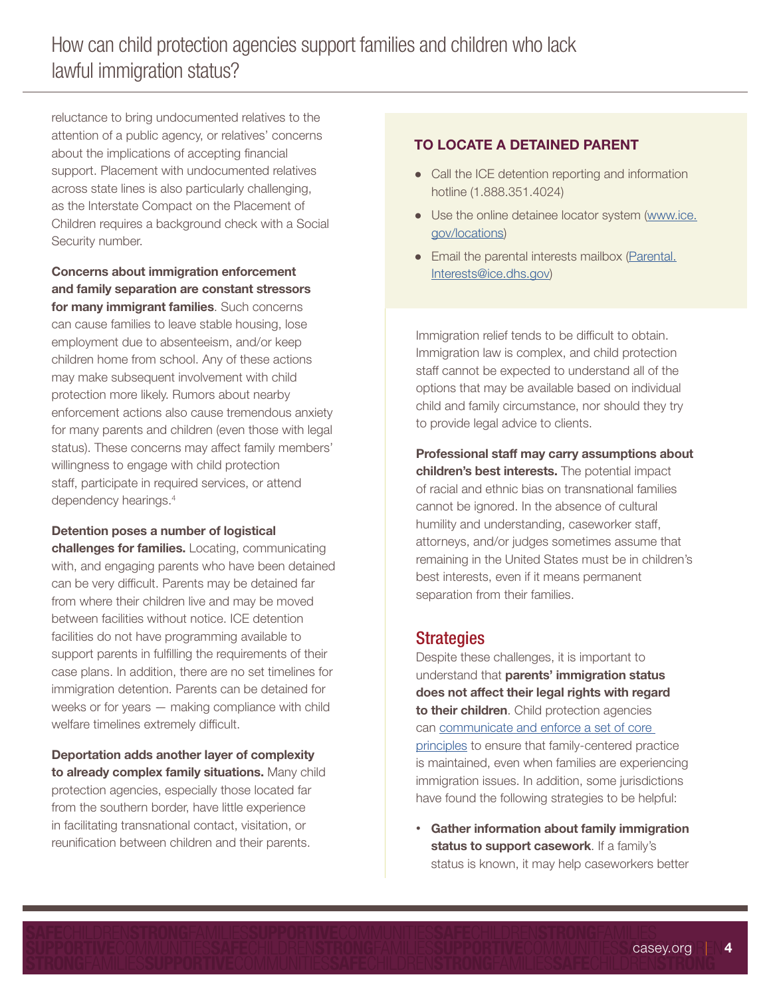reluctance to bring undocumented relatives to the attention of a public agency, or relatives' concerns about the implications of accepting financial support. Placement with undocumented relatives across state lines is also particularly challenging, as the Interstate Compact on the Placement of Children requires a background check with a Social Security number.

Concerns about immigration enforcement and family separation are constant stressors for many immigrant families. Such concerns can cause families to leave stable housing, lose employment due to absenteeism, and/or keep children home from school. Any of these actions may make subsequent involvement with child protection more likely. Rumors about nearby enforcement actions also cause tremendous anxiety for many parents and children (even those with legal status). These concerns may affect family members' willingness to engage with child protection staff, participate in required services, or attend dependency hearings.4

#### Detention poses a number of logistical

challenges for families. Locating, communicating with, and engaging parents who have been detained can be very difficult. Parents may be detained far from where their children live and may be moved between facilities without notice. ICE detention facilities do not have programming available to support parents in fulfilling the requirements of their case plans. In addition, there are no set timelines for immigration detention. Parents can be detained for weeks or for years — making compliance with child welfare timelines extremely difficult.

Deportation adds another layer of complexity to already complex family situations. Many child protection agencies, especially those located far from the southern border, have little experience in facilitating transnational contact, visitation, or reunification between children and their parents.

#### TO LOCATE A DETAINED PARENT

- Call the ICE detention reporting and information hotline (1.888.351.4024)
- Use the online detainee locator system [\(www.ice.](http://www.ice.gov/locations) [gov/locations](http://www.ice.gov/locations))
- Email the parental interests mailbox ([Parental.](mailto:Parental.Interests%40ice.dhs.gov?subject=) [Interests@ice.dhs.gov\)](mailto:Parental.Interests%40ice.dhs.gov?subject=)

Immigration relief tends to be difficult to obtain. Immigration law is complex, and child protection staff cannot be expected to understand all of the options that may be available based on individual child and family circumstance, nor should they try to provide legal advice to clients.

Professional staff may carry assumptions about children's best interests. The potential impact of racial and ethnic bias on transnational families cannot be ignored. In the absence of cultural humility and understanding, caseworker staff, attorneys, and/or judges sometimes assume that remaining in the United States must be in children's best interests, even if it means permanent separation from their families.

#### **Strategies**

Despite these challenges, it is important to understand that parents' immigration status does not affect their legal rights with regard to their children. Child protection agencies can [communicate and enforce a set of core](https://www.casey.org/immigration-resources/)  [principles](https://www.casey.org/immigration-resources/) to ensure that family-centered practice is maintained, even when families are experiencing immigration issues. In addition, some jurisdictions have found the following strategies to be helpful:

• Gather information about family immigration status to support casework. If a family's status is known, it may help caseworkers better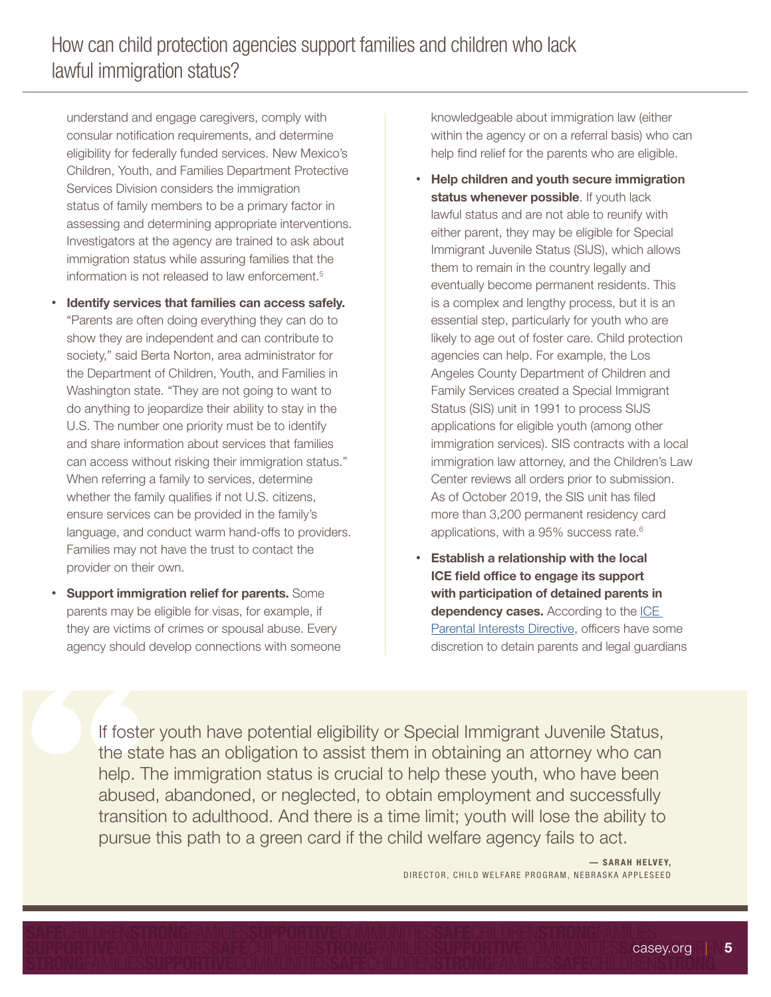understand and engage caregivers, comply with consular notification requirements, and determine eligibility for federally funded services. New Mexico's Children, Youth, and Families Department Protective Services Division considers the immigration status of family members to be a primary factor in assessing and determining appropriate interventions. Investigators at the agency are trained to ask about immigration status while assuring families that the information is not released to law enforcement.<sup>5</sup>

- Identify services that families can access safely. "Parents are often doing everything they can do to show they are independent and can contribute to society," said Berta Norton, area administrator for the Department of Children, Youth, and Families in Washington state. "They are not going to want to do anything to jeopardize their ability to stay in the U.S. The number one priority must be to identify and share information about services that families can access without risking their immigration status." When referring a family to services, determine whether the family qualifies if not U.S. citizens, ensure services can be provided in the family's language, and conduct warm hand-offs to providers. Families may not have the trust to contact the provider on their own.
- Support immigration relief for parents. Some parents may be eligible for visas, for example, if they are victims of crimes or spousal abuse. Every agency should develop connections with someone

knowledgeable about immigration law (either within the agency or on a referral basis) who can help find relief for the parents who are eligible.

- Help children and youth secure immigration status whenever possible. If youth lack lawful status and are not able to reunify with either parent, they may be eligible for Special Immigrant Juvenile Status (SIJS), which allows them to remain in the country legally and eventually become permanent residents. This is a complex and lengthy process, but it is an essential step, particularly for youth who are likely to age out of foster care. Child protection agencies can help. For example, the Los Angeles County Department of Children and Family Services created a Special Immigrant Status (SIS) unit in 1991 to process SIJS applications for eligible youth (among other immigration services). SIS contracts with a local immigration law attorney, and the Children's Law Center reviews all orders prior to submission. As of October 2019, the SIS unit has filed more than 3,200 permanent residency card applications, with a 95% success rate.6
- Establish a relationship with the local ICE field office to engage its support with participation of detained parents in dependency cases. According to the ICE [Parental Interests Directive](https://www.ilrc.org/sites/default/files/resources/2020.04_detained_parents_directive-04.28.pdf), officers have some discretion to detain parents and legal guardians

If foster youth have potential eligibility or Special Immigrant Juvenile Status, the state has an obligation to assist them in obtaining an attorney who can help. The immigration status is crucial to help these youth, who have been abused, abandoned, or neglected, to obtain employment and successfully transition to adulthood. And there is a time limit; youth will lose the ability to pursue this path to a green card if the child welfare agency fails to act.

> — SARAH HELVEY, DIRECTOR, CHILD WELFARE PROGRAM, NEBRASKA APPLESEED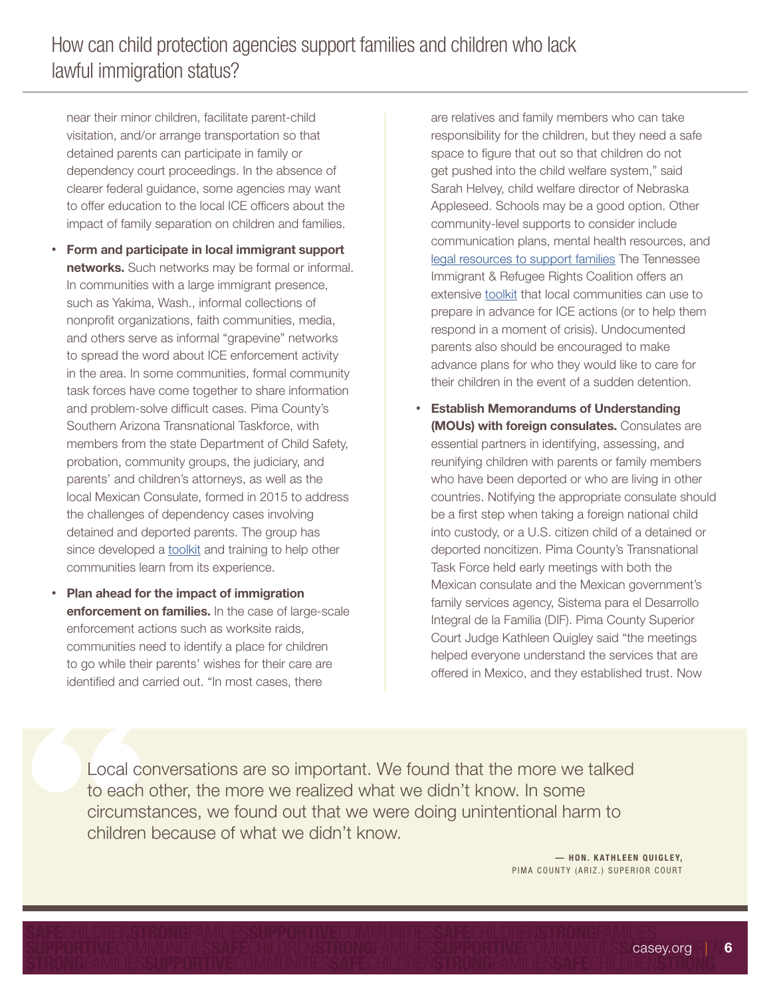near their minor children, facilitate parent-child visitation, and/or arrange transportation so that detained parents can participate in family or dependency court proceedings. In the absence of clearer federal guidance, some agencies may want to offer education to the local ICE officers about the impact of family separation on children and families.

- Form and participate in local immigrant support networks. Such networks may be formal or informal. In communities with a large immigrant presence, such as Yakima, Wash., informal collections of nonprofit organizations, faith communities, media, and others serve as informal "grapevine" networks to spread the word about ICE enforcement activity in the area. In some communities, formal community task forces have come together to share information and problem-solve difficult cases. Pima County's Southern Arizona Transnational Taskforce, with members from the state Department of Child Safety, probation, community groups, the judiciary, and parents' and children's attorneys, as well as the local Mexican Consulate, formed in 2015 to address the challenges of dependency cases involving detained and deported parents. The group has since developed a [toolkit](http://www.saveimmigrantfamiliesusa.com/pdf/Arizona-Forms.pdf) and training to help other communities learn from its experience.
- Plan ahead for the impact of immigration enforcement on families. In the case of large-scale enforcement actions such as worksite raids, communities need to identify a place for children to go while their parents' wishes for their care are identified and carried out. "In most cases, there

are relatives and family members who can take responsibility for the children, but they need a safe space to figure that out so that children do not get pushed into the child welfare system," said Sarah Helvey, child welfare director of Nebraska Appleseed. Schools may be a good option. Other community-level supports to consider include communication plans, mental health resources, and [legal resources to support families](https://www.casey.org/preventive-legal-support/) The Tennessee Immigrant & Refugee Rights Coalition offers an extensive [toolkit](https://www.tnimmigrant.org/news/worksiteraidresponsetoolkit) that local communities can use to prepare in advance for ICE actions (or to help them respond in a moment of crisis). Undocumented parents also should be encouraged to make advance plans for who they would like to care for their children in the event of a sudden detention.

• Establish Memorandums of Understanding (MOUs) with foreign consulates. Consulates are essential partners in identifying, assessing, and reunifying children with parents or family members who have been deported or who are living in other countries. Notifying the appropriate consulate should be a first step when taking a foreign national child into custody, or a U.S. citizen child of a detained or deported noncitizen. Pima County's Transnational Task Force held early meetings with both the Mexican consulate and the Mexican government's family services agency, Sistema para el Desarrollo Integral de la Familia (DIF). Pima County Superior Court Judge Kathleen Quigley said "the meetings helped everyone understand the services that are offered in Mexico, and they established trust. Now

Local conversations are so important. We found that the more we talked to each other, the more we realized what we didn't know. In some circumstances, we found out that we were doing unintentional harm to children because of what we didn't know.

> — HON. KATHLEEN QUIGLEY, PIMA COUNTY (ARIZ.) SUPERIOR COURT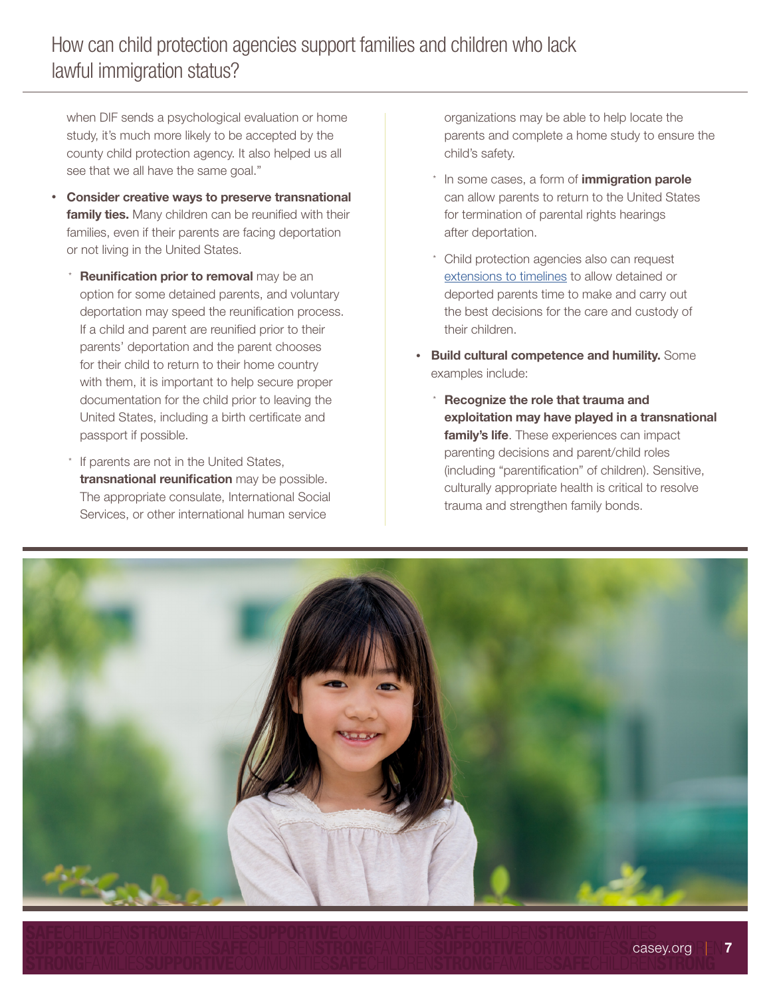when DIF sends a psychological evaluation or home study, it's much more likely to be accepted by the county child protection agency. It also helped us all see that we all have the same goal."

- Consider creative ways to preserve transnational family ties. Many children can be reunified with their families, even if their parents are facing deportation or not living in the United States.
	- Reunification prior to removal may be an option for some detained parents, and voluntary deportation may speed the reunification process. If a child and parent are reunified prior to their parents' deportation and the parent chooses for their child to return to their home country with them, it is important to help secure proper documentation for the child prior to leaving the United States, including a birth certificate and passport if possible.
	- If parents are not in the United States, transnational reunification may be possible. The appropriate consulate, International Social Services, or other international human service

organizations may be able to help locate the parents and complete a home study to ensure the child's safety.

- \* In some cases, a form of *immigration parole* can allow parents to return to the United States for termination of parental rights hearings after deportation.
- \* Child protection agencies also can request [extensions to timelines](https://www.acf.hhs.gov/sites/default/files/cb/im1502.pdf) to allow detained or deported parents time to make and carry out the best decisions for the care and custody of their children.
- Build cultural competence and humility. Some examples include:
	- Recognize the role that trauma and exploitation may have played in a transnational family's life. These experiences can impact parenting decisions and parent/child roles (including "parentification" of children). Sensitive, culturally appropriate health is critical to resolve trauma and strengthen family bonds.